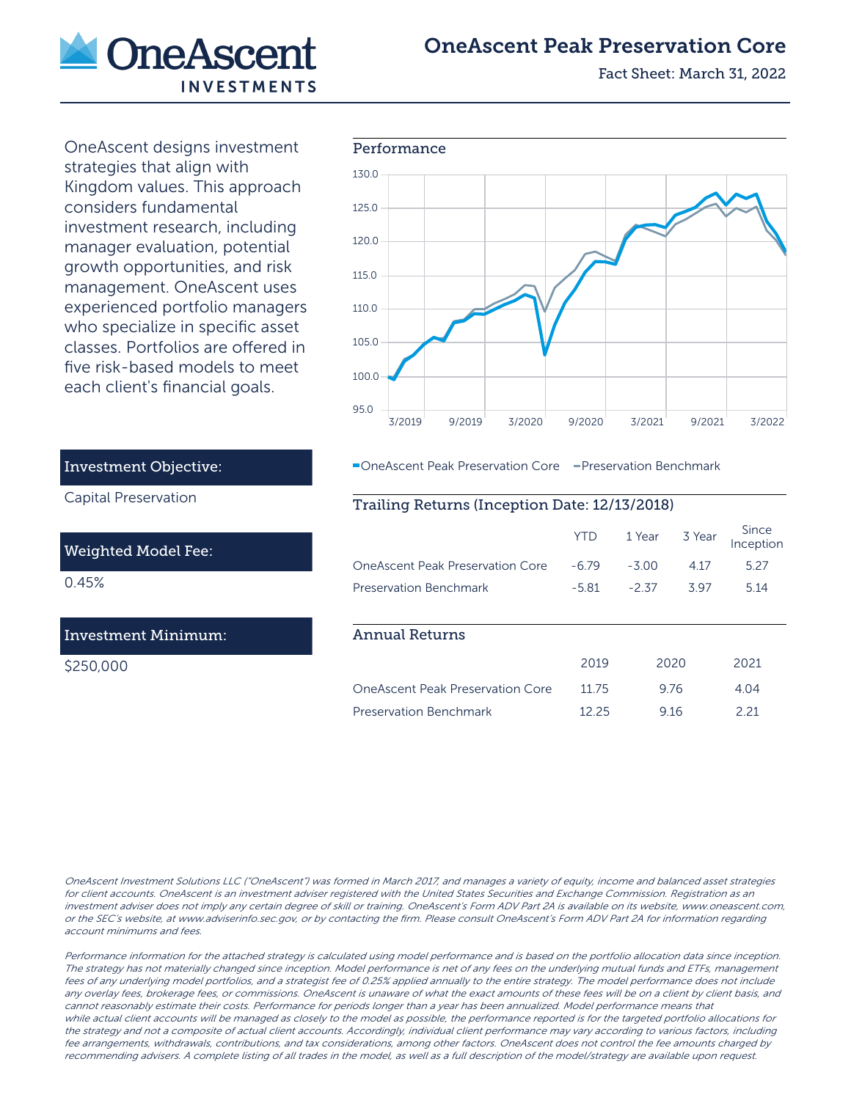

# OneAscent Peak Preservation Core

Fact Sheet: March 31, 2022

OneAscent designs investment strategies that align with Kingdom values. This approach considers fundamental investment research, including manager evaluation, potential growth opportunities, and risk management. OneAscent uses experienced portfolio managers who specialize in specific asset classes. Portfolios are offered in five risk-based models to meet each client's financial goals.



**-OneAscent Peak Preservation Core** - Preservation Benchmark

## Trailing Returns (Inception Date: 12/13/2018)

|                                  | <b>YTD</b> |         |       | 1 Year 3 Year Since<br>Inception |
|----------------------------------|------------|---------|-------|----------------------------------|
| OneAscent Peak Preservation Core | -6.79      | $-3.00$ | 4 1 7 | 5.27                             |
| <b>Preservation Benchmark</b>    | -5.81      | $-2.37$ | 397   | 514                              |
| Annual Returns                   |            |         |       |                                  |

|                                  | 2019  | 2020 | 2021 |
|----------------------------------|-------|------|------|
| OneAscent Peak Preservation Core | 11 75 | 976  | 404  |
| Preservation Benchmark           | 12.25 | 916  | 221  |

OneAscent Investment Solutions LLC ("OneAscent") was formed in March 2017, and manages a variety of equity, income and balanced asset strategies for client accounts. OneAscent is an investment adviser registered with the United States Securities and Exchange Commission. Registration as an investment adviser does not imply any certain degree of skill or training. OneAscent's Form ADV Part 2A is available on its website, www.oneascent.com, or the SEC's website, at www.adviserinfo.sec.gov, or by contacting the firm. Please consult OneAscent's Form ADV Part 2A for information regarding account minimums and fees.

Performance information for the attached strategy is calculated using model performance and is based on the portfolio allocation data since inception. The strategy has not materially changed since inception. Model performance is net of any fees on the underlying mutual funds and ETFs, management fees of any underlying model portfolios, and a strategist fee of 0.25% applied annually to the entire strategy. The model performance does not include any overlay fees, brokerage fees, or commissions. OneAscent is unaware of what the exact amounts of these fees will be on a client by client basis, and cannot reasonably estimate their costs. Performance for periods longer than a year has been annualized. Model performance means that while actual client accounts will be managed as closely to the model as possible, the performance reported is for the targeted portfolio allocations for the strategy and not a composite of actual client accounts. Accordingly, individual client performance may vary according to various factors, including fee arrangements, withdrawals, contributions, and tax considerations, among other factors. OneAscent does not control the fee amounts charged by recommending advisers. A complete listing of all trades in the model, as well as a full description of the model/strategy are available upon request.

# Investment Objective:

Capital Preservation

#### Weighted Model Fee:

0.45%

### Investment Minimum:

\$250,000